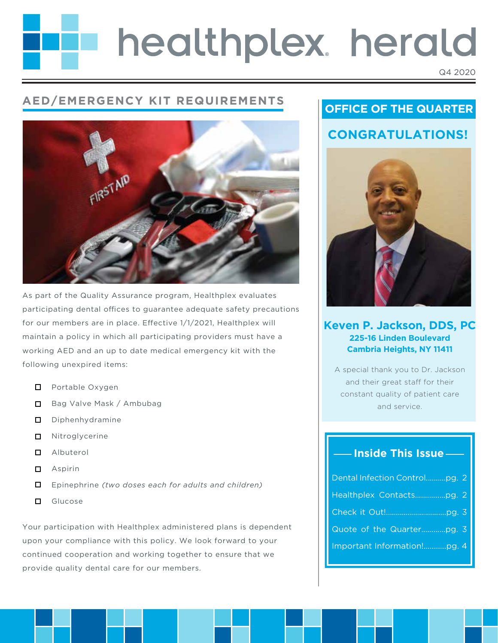# healthplex. herald

#### Q4 2020

# **AED/EMERGENCY KIT REQUIREMENTS**



As part of the Quality Assurance program, Healthplex evaluates participating dental offices to guarantee adequate safety precautions for our members are in place. Effective 1/1/2021, Healthplex will maintain a policy in which all participating providers must have a working AED and an up to date medical emergency kit with the following unexpired items:

- **D** Portable Oxygen
- Bag Valve Mask / Ambubag
- D Diphenhydramine
- $\Box$  Nitroglycerine
- Albuterol
- **□** Aspirin
- $\Box$ Epinephrine *(two doses each for adults and children)*
- **D** Glucose

Your participation with Healthplex administered plans is dependent upon your compliance with this policy. We look forward to your continued cooperation and working together to ensure that we provide quality dental care for our members.

# **OFFICE OF THE QUARTER**



## **Keven P. Jackson, DDS, PC 225-16 Linden Boulevard Cambria Heights, NY 11411**

A special thank you to Dr. Jackson and their great staff for their constant quality of patient care and service.

# **Inside This Issue**

| Dental Infection Controlpg. 2 |  |
|-------------------------------|--|
| Healthplex Contactspg. 2      |  |
|                               |  |
|                               |  |
| Important Information!pg. 4   |  |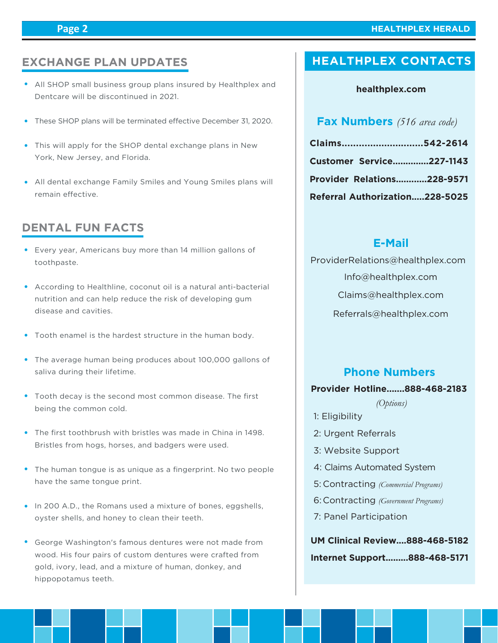#### **Page 2**

#### **HEALTHPLEX HERALD**

# **EXCHANGE PLAN UPDATES**

- All SHOP small business group plans insured by Healthplex and Dentcare will be discontinued in 2021.
- These SHOP plans will be terminated effective December 31, 2020.
- This will apply for the SHOP dental exchange plans in New York, New Jersey, and Florida.
- All dental exchange Family Smiles and Young Smiles plans will remain effective

### **DENTAL FUN FACTS**

- Every year, Americans buy more than 14 million gallons of toothpaste.
- According to Healthline, coconut oil is a natural anti-bacterial nutrition and can help reduce the risk of developing gum disease and cavities.
- Tooth enamel is the hardest structure in the human body.
- The average human being produces about 100,000 gallons of saliva during their lifetime.
- Tooth decay is the second most common disease. The first being the common cold.
- The first toothbrush with bristles was made in China in 1498. Bristles from hogs, horses, and badgers were used.
- The human tongue is as unique as a fingerprint. No two people have the same tongue print.
- In 200 A.D., the Romans used a mixture of bones, eggshells, oyster shells, and honey to clean their teeth.
- George Washington's famous dentures were not made from wood. His four pairs of custom dentures were crafted from gold, ivory, lead, and a mixture of human, donkey, and hippopotamus teeth.

# **HEALTHPLEX CONTACTS**

#### **healthplex.com**

### **Fax Numbers** *(516 area code)*

| Claims542-2614                    |  |
|-----------------------------------|--|
| Customer Service227-1143          |  |
| <b>Provider Relations228-9571</b> |  |
| Referral Authorization228-5025    |  |

#### **E-Mail**

 Info@healthplex.com ProviderRelations@healthplex.com Claims@healthplex.com Referrals@healthplex.com

#### **Phone Numbers**

#### **Provider Hotline.......888-468-2183**

*(Options)*

- 1: Eligibility
- 2: Urgent Referrals
- 3: Website Support
- 4: Claims Automated System
- Contracting *(Commercial Programs)* 5:
- Contracting *(Government Programs)* 6:
- 7: Panel Participation

**UM Clinical Review....888-468-5182 Internet Support.........888-468-5171**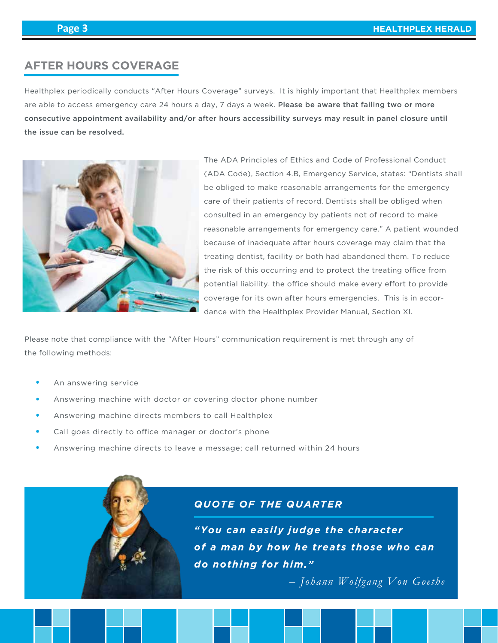# **AFTER HOURS COVERAGE**

Healthplex periodically conducts "After Hours Coverage" surveys. It is highly important that Healthplex members are able to access emergency care 24 hours a day, 7 days a week. Please be aware that failing two or more consecutive appointment availability and/or after hours accessibility surveys may result in panel closure until the issue can be resolved.



The ADA Principles of Ethics and Code of Professional Conduct (ADA Code), Section 4.B, Emergency Service, states: "Dentists shall be obliged to make reasonable arrangements for the emergency care of their patients of record. Dentists shall be obliged when consulted in an emergency by patients not of record to make reasonable arrangements for emergency care." A patient wounded because of inadequate after hours coverage may claim that the treating dentist, facility or both had abandoned them. To reduce the risk of this occurring and to protect the treating office from potential liability, the office should make every effort to provide coverage for its own after hours emergencies. This is in accordance with the Healthplex Provider Manual, Section XI.

Please note that compliance with the "After Hours" communication requirement is met through any of the following methods:

- An answering service
- Answering machine with doctor or covering doctor phone number
- Answering machine directs members to call Healthplex
- Call goes directly to office manager or doctor's phone
- Answering machine directs to leave a message; call returned within 24 hours



#### *QUOTE OF THE QUARTER*

*"You can easily judge the character of a man by how he treats those who can do nothing for him."*

*– Johann Wolfgang Von Goethe*